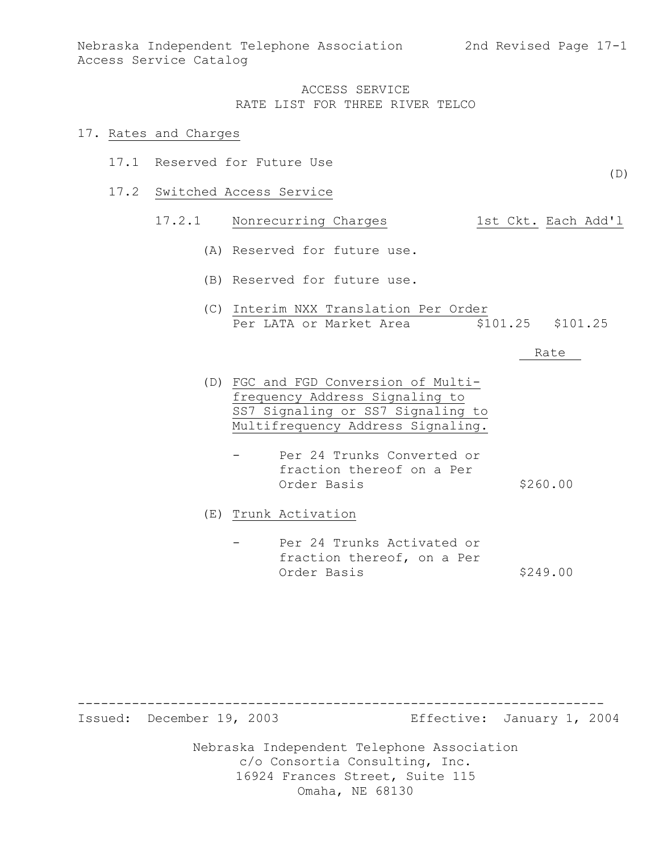$(D)$ 

#### ACCESS SERVICE RATE LIST FOR THREE RIVER TELCO

#### 17. Rates and Charges

- 17.1 Reserved for Future Use
- 17.2 Switched Access Service

## 17.2.1 Nonrecurring Charges 1st Ckt. Each Add'l

- (A) Reserved for future use.
- (B) Reserved for future use.
- (C) Interim NXX Translation Per Order Per LATA or Market Area  $$101.25$  \$101.25

#### Rate

- (D) FGC and FGD Conversion of Multifrequency Address Signaling to SS7 Signaling or SS7 Signaling to Multifrequency Address Signaling.
	- Per 24 Trunks Converted or fraction thereof on a Per Order Basis \$260.00

(E) Trunk Activation

Per 24 Trunks Activated or fraction thereof, on a Per Order Basis \$249.00

--------------------------------------------------------------------

Issued: December 19, 2003 Effective: January 1, 2004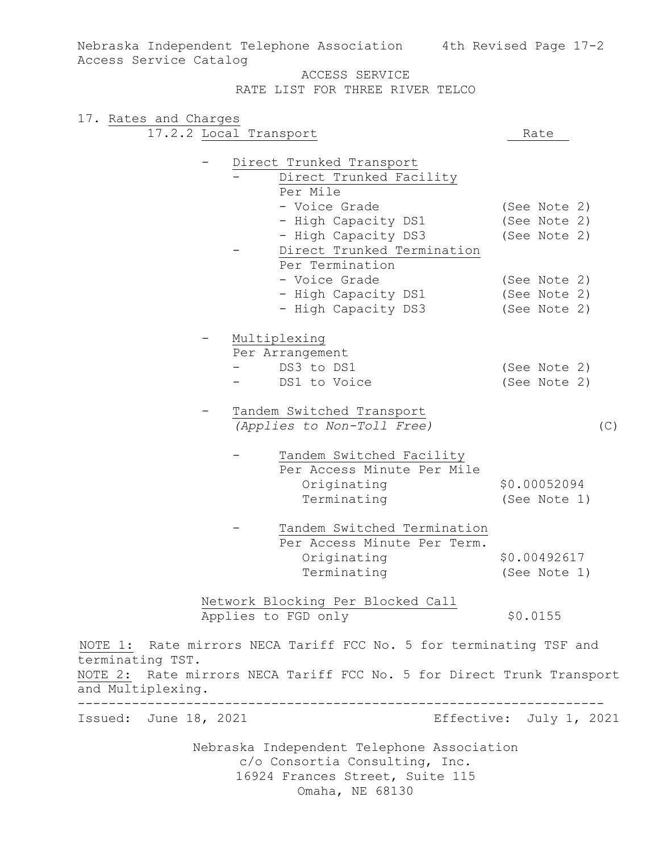Nebraska Independent Telephone Association c/o Consortia Consulting, Inc. 16924 Frances Street, Suite 115 Omaha, NE 68130 Nebraska Independent Telephone Association 4th Revised Page 17-2 Access Service Catalog ACCESS SERVICE RATE LIST FOR THREE RIVER TELCO 17. Rates and Charges 17.2.2 Local Transport Rate - Direct Trunked Transport Direct Trunked Facility Per Mile - Voice Grade (See Note 2) - High Capacity DS1 (See Note 2) - High Capacity DS3 (See Note 2) Direct Trunked Termination Per Termination - Voice Grade (See Note 2) - High Capacity DS1 (See Note 2) - High Capacity DS3 (See Note 2) - Multiplexing Per Arrangement - DS3 to DS1 (See Note 2) - DS1 to Voice (See Note 2) Tandem Switched Transport *(Applies to Non-Toll Free)* (C) Tandem Switched Facility Per Access Minute Per Mile Originating \$0.00052094 Terminating (See Note 1) Tandem Switched Termination Per Access Minute Per Term. Originating \$0.00492617 Terminating (See Note 1) Network Blocking Per Blocked Call Applies to FGD only \$0.0155 NOTE 1: Rate mirrors NECA Tariff FCC No. 5 for terminating TSF and terminating TST. NOTE 2: Rate mirrors NECA Tariff FCC No. 5 for Direct Trunk Transport and Multiplexing. -------------------------------------------------------------------- Issued: June 18, 2021 Effective: July 1, 2021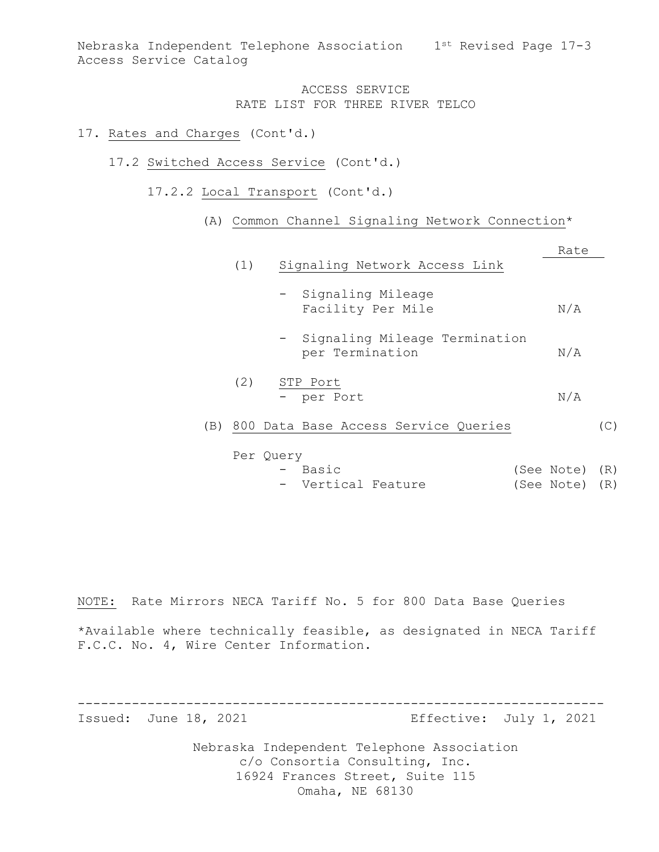Nebraska Independent Telephone Association 1st Revised Page 17-3 Access Service Catalog

### ACCESS SERVICE RATE LIST FOR THREE RIVER TELCO

### 17. Rates and Charges (Cont'd.)

- 17.2 Switched Access Service (Cont'd.)
	- 17.2.2 Local Transport (Cont'd.)
		- (A) Common Channel Signaling Network Connection\*

|     |           |                                                    | Rate |     |
|-----|-----------|----------------------------------------------------|------|-----|
|     | (1)       | Signaling Network Access Link                      |      |     |
|     |           | - Signaling Mileage<br>Facility Per Mile           | N/A  |     |
|     |           | - Signaling Mileage Termination<br>per Termination | N/A  |     |
|     | (2)       | STP Port                                           |      |     |
|     |           | - per Port                                         | N/A  |     |
| (B) |           | 800 Data Base Access Service Queries               |      | (C) |
|     | Per Ouery |                                                    |      |     |

- Basic (See Note) (R) - Vertical Feature (See Note) (R)

NOTE: Rate Mirrors NECA Tariff No. 5 for 800 Data Base Queries

\*Available where technically feasible, as designated in NECA Tariff F.C.C. No. 4, Wire Center Information.

-------------------------------------------------------------------- Issued: June 18, 2021 Effective: July 1, 2021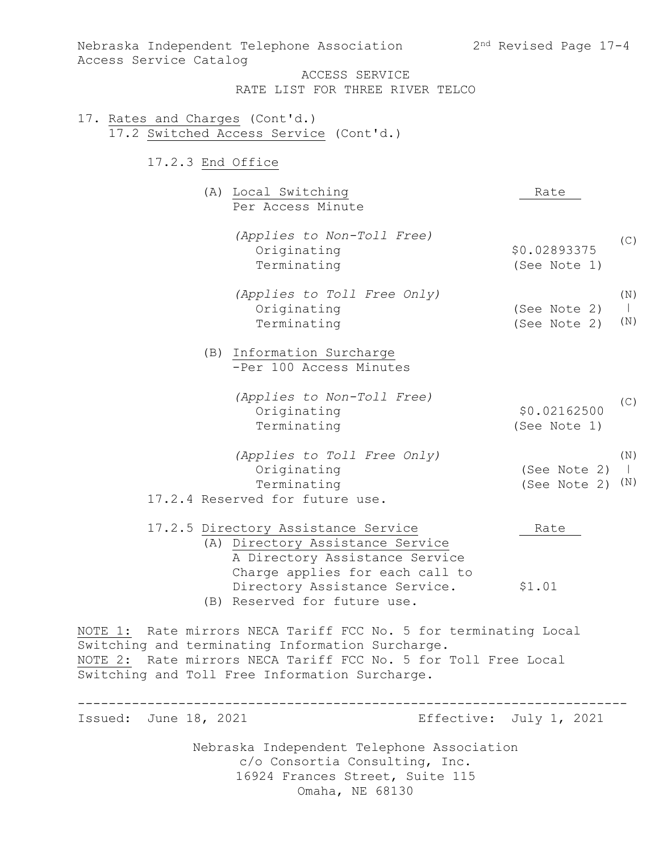Nebraska Independent Telephone Association c/o Consortia Consulting, Inc. 16924 Frances Street, Suite 115 Omaha, NE 68130 Nebraska Independent Telephone Association 2nd Revised Page 17-4 Access Service Catalog ACCESS SERVICE RATE LIST FOR THREE RIVER TELCO 17. Rates and Charges (Cont'd.) 17.2 Switched Access Service (Cont'd.) 17.2.3 End Office (A) Local Switching Rate Per Access Minute *(Applies to Non-Toll Free)* Originating \$0.02893375 Terminating (See Note 1) *(Applies to Toll Free Only)* Originating (See Note 2) Terminating (See Note 2) (B) Information Surcharge -Per 100 Access Minutes *(Applies to Non-Toll Free)* Originating \$0.02162500 Terminating (See Note 1) *(Applies to Toll Free Only)* Originating (See Note 2) | Terminating (See Note 2) (N) 17.2.4 Reserved for future use. 17.2.5 Directory Assistance Service Rate (A) Directory Assistance Service A Directory Assistance Service Charge applies for each call to Directory Assistance Service. \$1.01 (B) Reserved for future use. NOTE 1: Rate mirrors NECA Tariff FCC No. 5 for terminating Local Switching and terminating Information Surcharge. NOTE 2: Rate mirrors NECA Tariff FCC No. 5 for Toll Free Local Switching and Toll Free Information Surcharge. ----------------------------------------------------------------------- Issued: June 18, 2021 **Effective: July 1, 2021** (C) (N) | (N) (C) (N)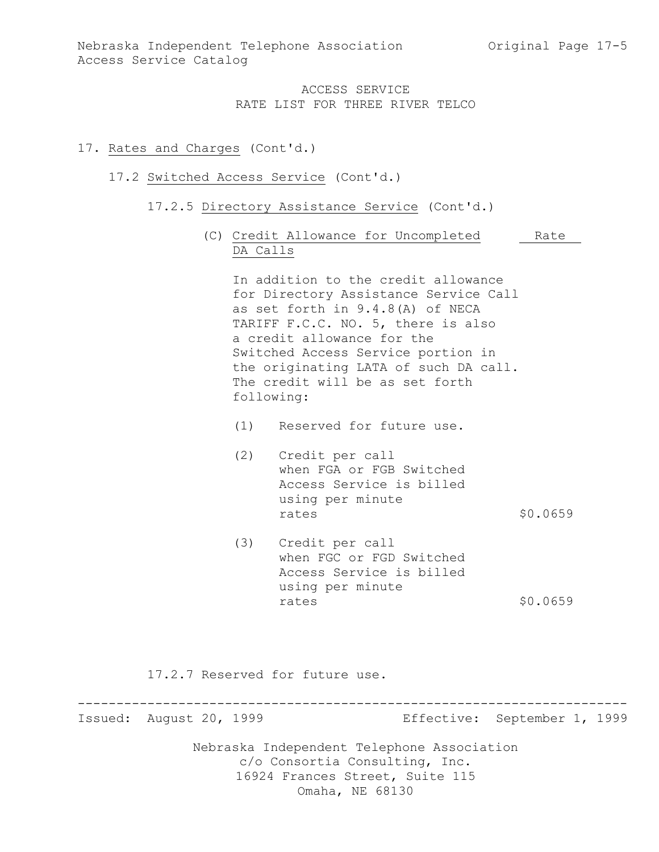### 17. Rates and Charges (Cont'd.)

### 17.2 Switched Access Service (Cont'd.)

- 17.2.5 Directory Assistance Service (Cont'd.)
	- (C) Credit Allowance for Uncompleted Rate DA Calls

In addition to the credit allowance for Directory Assistance Service Call as set forth in 9.4.8(A) of NECA TARIFF F.C.C. NO. 5, there is also a credit allowance for the Switched Access Service portion in the originating LATA of such DA call. The credit will be as set forth following:

- (1) Reserved for future use.
- (2) Credit per call when FGA or FGB Switched Access Service is billed using per minute rates \$0.0659
- (3) Credit per call when FGC or FGD Switched Access Service is billed using per minute rates \$0.0659

17.2.7 Reserved for future use.

----------------------------------------------------------------------- Issued: August 20, 1999 Effective: September 1, 1999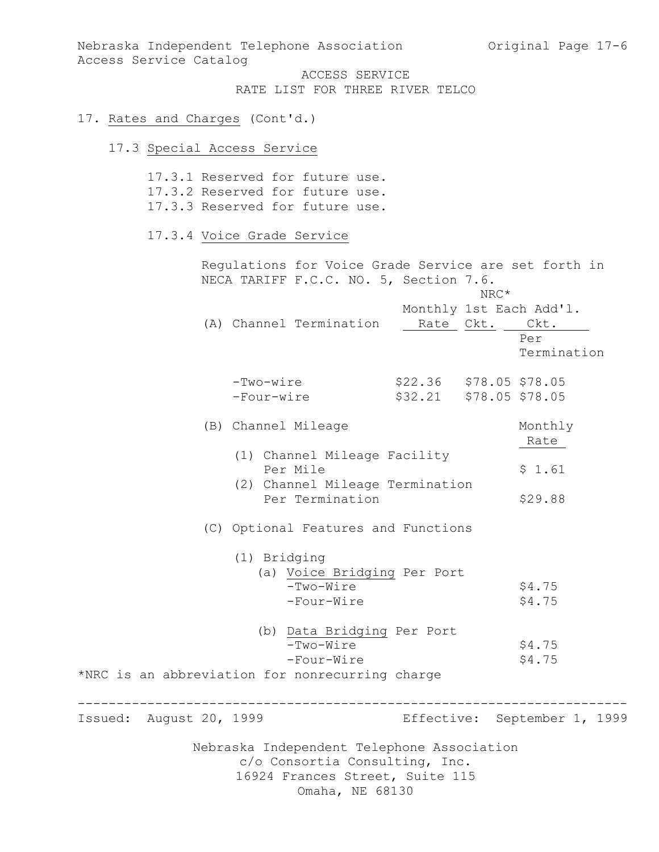Nebraska Independent Telephone Association (Original Page 17-6) Access Service Catalog

ACCESS SERVICE RATE LIST FOR THREE RIVER TELCO

# 17. Rates and Charges (Cont'd.)

# 17.3 Special Access Service

|                         | 17.3.1 Reserved for future use.<br>17.3.2 Reserved for future use.<br>17.3.3 Reserved for future use.                              |                                                    |      |                                                       |
|-------------------------|------------------------------------------------------------------------------------------------------------------------------------|----------------------------------------------------|------|-------------------------------------------------------|
|                         | 17.3.4 Voice Grade Service                                                                                                         |                                                    |      |                                                       |
|                         | Regulations for Voice Grade Service are set forth in<br>NECA TARIFF F.C.C. NO. 5, Section 7.6.                                     |                                                    | NRC* |                                                       |
|                         | (A) Channel Termination                                                                                                            | Rate Ckt.                                          |      | Monthly 1st Each Add'l.<br>Ckt.<br>Per<br>Termination |
|                         | $-Two-wire$<br>-Four-wire                                                                                                          | \$22.36 \$78.05 \$78.05<br>\$32.21 \$78.05 \$78.05 |      |                                                       |
|                         | (B) Channel Mileage                                                                                                                |                                                    |      | Monthly<br>Rate                                       |
|                         | (1) Channel Mileage Facility<br>Per Mile<br>(2) Channel Mileage Termination                                                        |                                                    |      | \$1.61                                                |
|                         | Per Termination<br>(C) Optional Features and Functions<br>(1) Bridging                                                             |                                                    |      | \$29.88                                               |
|                         | (a) Voice Bridging Per Port<br>$-Two-Wire$<br>-Four-Wire                                                                           |                                                    |      | \$4.75<br>\$4.75                                      |
|                         | (b) Data Bridging Per Port<br>-Two-Wire<br>-Four-Wire<br>*NRC is an abbreviation for nonrecurring charge                           |                                                    |      | \$4.75<br>\$4.75                                      |
| Issued: August 20, 1999 |                                                                                                                                    |                                                    |      | Effective: September 1, 1999                          |
|                         | Nebraska Independent Telephone Association<br>c/o Consortia Consulting, Inc.<br>16924 Frances Street, Suite 115<br>Omaha, NE 68130 |                                                    |      |                                                       |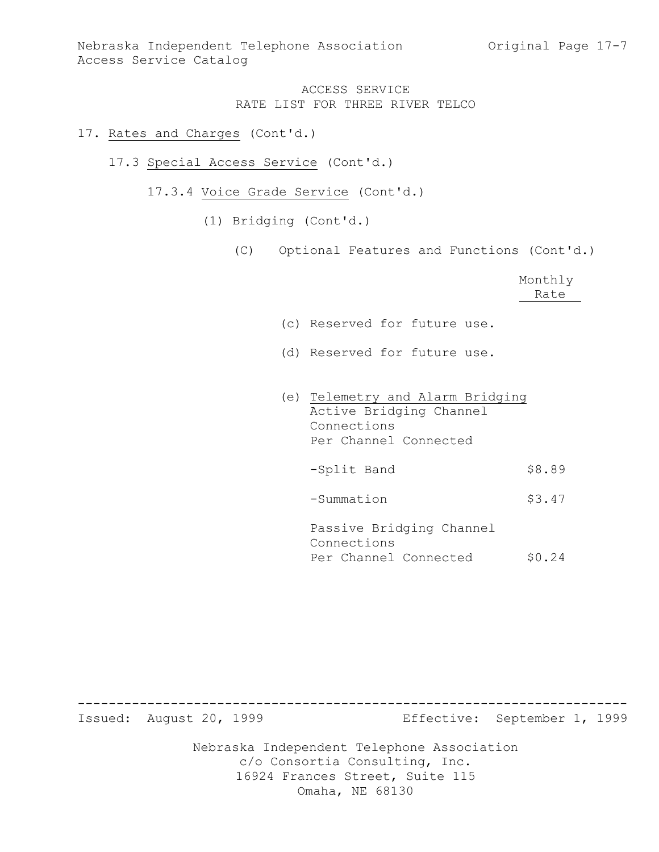- 17. Rates and Charges (Cont'd.)
	- 17.3 Special Access Service (Cont'd.)
		- 17.3.4 Voice Grade Service (Cont'd.)
			- (1) Bridging (Cont'd.)
				- (C) Optional Features and Functions (Cont'd.)

|                                                                                                     | Monthly<br>Rate |
|-----------------------------------------------------------------------------------------------------|-----------------|
| (c) Reserved for future use.                                                                        |                 |
| (d) Reserved for future use.                                                                        |                 |
| (e) Telemetry and Alarm Bridging<br>Active Bridging Channel<br>Connections<br>Per Channel Connected |                 |
| -Split Band                                                                                         | \$8.89          |
| -Summation                                                                                          | \$3.47          |
| Passive Bridging Channel<br>Connections<br>Per Channel Connected                                    | \$0.24          |

Nebraska Independent Telephone Association c/o Consortia Consulting, Inc. 16924 Frances Street, Suite 115 ----------------------------------------------------------------------- Issued: August 20, 1999 Effective: September 1, 1999

Omaha, NE 68130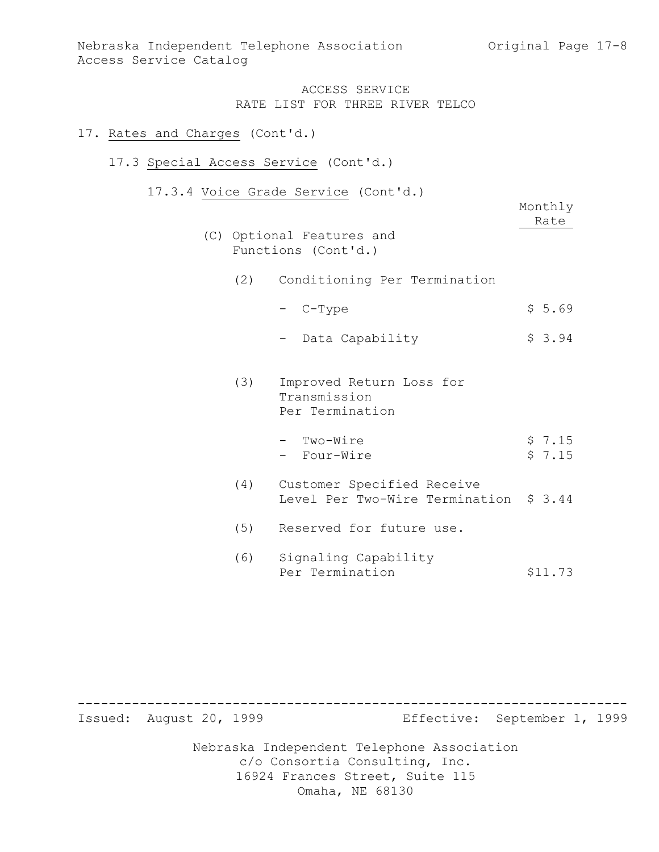### 17. Rates and Charges (Cont'd.)

### 17.3 Special Access Service (Cont'd.)

17.3.4 Voice Grade Service (Cont'd.)

|     |     | voice diade belvice (conc d.)                                | Monthly          |
|-----|-----|--------------------------------------------------------------|------------------|
|     |     |                                                              | Rate             |
| (C) |     | Optional Features and<br>Functions (Cont'd.)                 |                  |
|     | (2) | Conditioning Per Termination                                 |                  |
|     |     | - C-Type                                                     | \$5.69           |
|     |     | Data Capability                                              | \$3.94           |
|     | (3) | Improved Return Loss for<br>Transmission<br>Per Termination  |                  |
|     |     | - Two-Wire<br>- Four-Wire                                    | \$7.15<br>\$7.15 |
|     | (4) | Customer Specified Receive<br>Level Per Two-Wire Termination | \$3.44           |
|     | (5) | Reserved for future use.                                     |                  |
|     | (6) | Signaling Capability<br>Per Termination                      | \$11.73          |

Nebraska Independent Telephone Association c/o Consortia Consulting, Inc. 16924 Frances Street, Suite 115 Omaha, NE 68130 ----------------------------------------------------------------------- Issued: August 20, 1999 Effective: September 1, 1999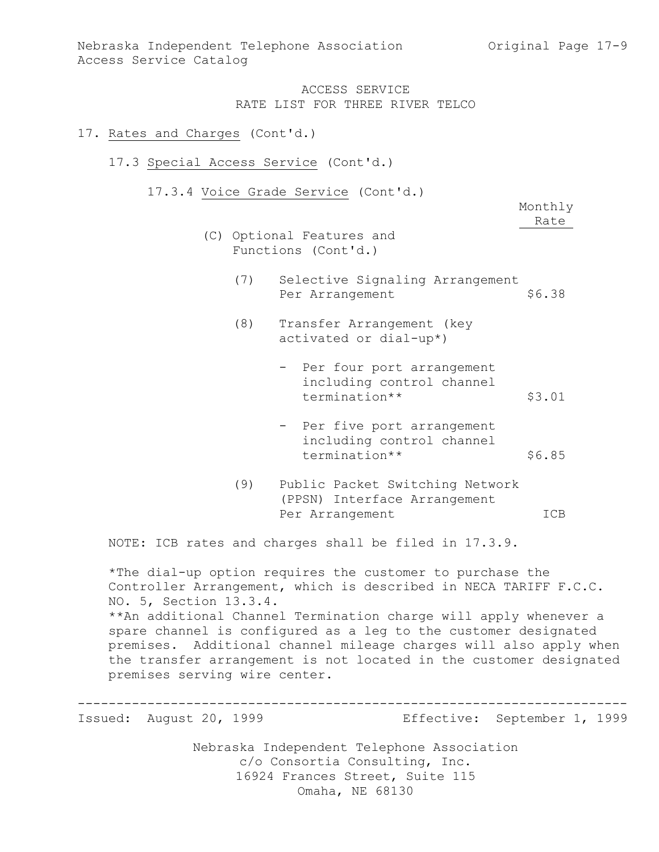#### 17. Rates and Charges (Cont'd.)

#### 17.3 Special Access Service (Cont'd.)

17.3.4 Voice Grade Service (Cont'd.)

Monthly Rate

- (C) Optional Features and Functions (Cont'd.)
	- (7) Selective Signaling Arrangement Per Arrangement \$6.38
	- (8) Transfer Arrangement (key activated or dial-up\*)
		- Per four port arrangement including control channel termination\*\* \$3.01
		- Per five port arrangement including control channel termination\*\* \$6.85
	- (9) Public Packet Switching Network (PPSN) Interface Arrangement Per Arrangement ICB

NOTE: ICB rates and charges shall be filed in 17.3.9.

\*The dial-up option requires the customer to purchase the Controller Arrangement, which is described in NECA TARIFF F.C.C. NO. 5, Section 13.3.4. \*\*An additional Channel Termination charge will apply whenever a spare channel is configured as a leg to the customer designated premises. Additional channel mileage charges will also apply when the transfer arrangement is not located in the customer designated premises serving wire center.

Nebraska Independent Telephone Association ----------------------------------------------------------------------- Issued: August 20, 1999 Effective: September 1, 1999

c/o Consortia Consulting, Inc. 16924 Frances Street, Suite 115 Omaha, NE 68130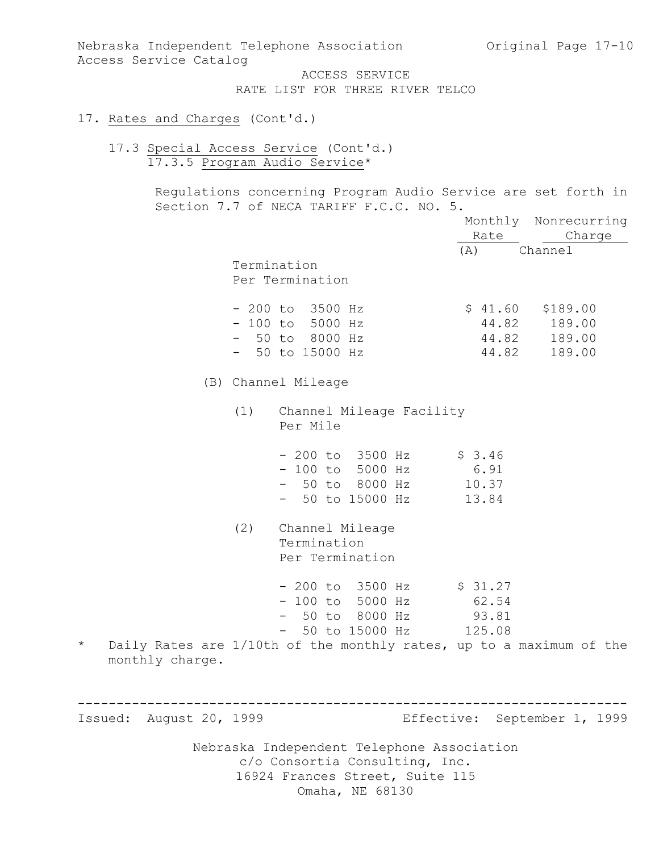Nebraska Independent Telephone Association (Original Page 17-10) Access Service Catalog

ACCESS SERVICE RATE LIST FOR THREE RIVER TELCO

### 17. Rates and Charges (Cont'd.)

17.3 Special Access Service (Cont'd.) 17.3.5 Program Audio Service\*

> Regulations concerning Program Audio Service are set forth in Section 7.7 of NECA TARIFF F.C.C. NO. 5.

|                             |     |                                                                                                                                                             | Rate                             | Monthly Nonrecurring<br>Charge                     |
|-----------------------------|-----|-------------------------------------------------------------------------------------------------------------------------------------------------------------|----------------------------------|----------------------------------------------------|
|                             |     | Termination<br>Per Termination                                                                                                                              | (A)                              | Channel                                            |
|                             |     | $-200$ to 3500 Hz<br>$-100$ to 5000 Hz<br>$-50$ to 8000 Hz<br>$-50$ to 15000 Hz                                                                             | \$41.60<br>44.82                 | \$189.00<br>44.82 189.00<br>44.82 189.00<br>189.00 |
|                             |     | (B) Channel Mileage                                                                                                                                         |                                  |                                                    |
|                             |     | (1) Channel Mileage Facility<br>Per Mile                                                                                                                    |                                  |                                                    |
|                             |     | $-200$ to $3500$ Hz<br>$-100$ to 5000 Hz<br>- 50 to 8000 Hz<br>- 50 to 15000 Hz                                                                             | \$3.46<br>6.91<br>10.37<br>13.84 |                                                    |
|                             | (2) | Channel Mileage<br>Termination<br>Per Termination                                                                                                           |                                  |                                                    |
| $^\star$<br>monthly charge. |     | $-200$ to 3500 Hz<br>$-100$ to 5000 Hz<br>- 50 to 8000 Hz<br>- 50 to 15000 Hz 125.08<br>Daily Rates are 1/10th of the monthly rates, up to a maximum of the | \$31.27<br>62.54<br>93.81        |                                                    |
|                             |     |                                                                                                                                                             |                                  |                                                    |
| Issued: August 20, 1999     |     |                                                                                                                                                             |                                  | Effective: September 1, 1999                       |
|                             |     | Nebraska Independent Telephone Association<br>c/o Consortia Consulting, Inc.<br>16924 Frances Street, Suite 115<br>Omaha, NE 68130                          |                                  |                                                    |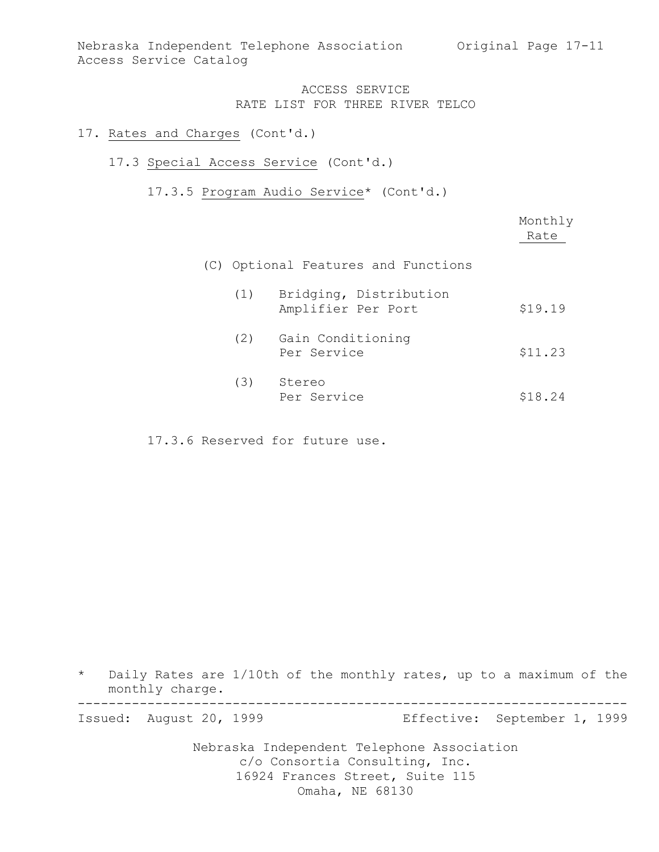#### 17. Rates and Charges (Cont'd.)

#### 17.3 Special Access Service (Cont'd.)

17.3.5 Program Audio Service\* (Cont'd.)

|     |                                              | Monthly<br>Rate |
|-----|----------------------------------------------|-----------------|
|     | (C) Optional Features and Functions          |                 |
| (1) | Bridging, Distribution<br>Amplifier Per Port | \$19.19         |
| (2) | Gain Conditioning<br>Per Service             | \$11.23         |
| (3) | Stereo<br>Per Service                        | \$18.24         |

17.3.6 Reserved for future use.

\* Daily Rates are 1/10th of the monthly rates, up to a maximum of the monthly charge. ----------------------------------------------------------------------- Issued: August 20, 1999 Effective: September 1, 1999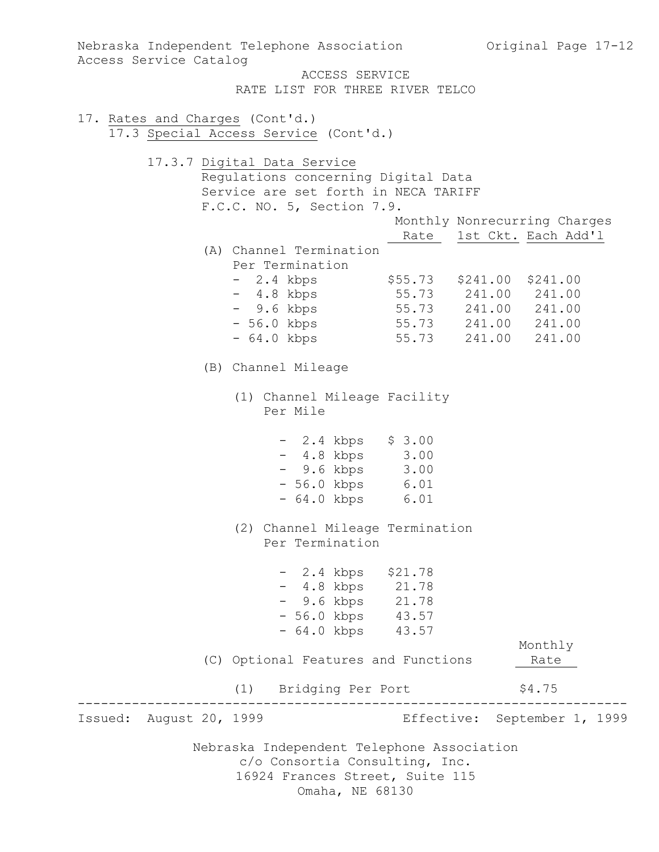Nebraska Independent Telephone Association c/o Consortia Consulting, Inc. 16924 Frances Street, Suite 115 Omaha, NE 68130 Nebraska Independent Telephone Association (Original Page 17-12) Access Service Catalog ACCESS SERVICE RATE LIST FOR THREE RIVER TELCO 17. Rates and Charges (Cont'd.) 17.3 Special Access Service (Cont'd.) 17.3.7 Digital Data Service Regulations concerning Digital Data Service are set forth in NECA TARIFF F.C.C. NO. 5, Section 7.9. Monthly Nonrecurring Charges Rate 1st Ckt. Each Add'l (A) Channel Termination Per Termination - 2.4 kbps \$55.73 \$241.00 \$241.00 - 4.8 kbps 55.73 241.00 241.00 - 9.6 kbps 55.73 241.00 241.00 - 56.0 kbps 55.73 241.00 241.00 - 64.0 kbps 55.73 241.00 241.00 (B) Channel Mileage (1) Channel Mileage Facility Per Mile - 2.4 kbps \$ 3.00 - 4.8 kbps 3.00 - 9.6 kbps 3.00 - 56.0 kbps 6.01 - 64.0 kbps 6.01 (2) Channel Mileage Termination Per Termination - 2.4 kbps \$21.78 - 4.8 kbps 21.78 - 9.6 kbps 21.78 - 56.0 kbps 43.57 - 64.0 kbps 43.57 Monthly (C) Optional Features and Functions 1974 Rate (1) Bridging Per Port \$4.75 ----------------------------------------------------------------------- Issued: August 20, 1999 Effective: September 1, 1999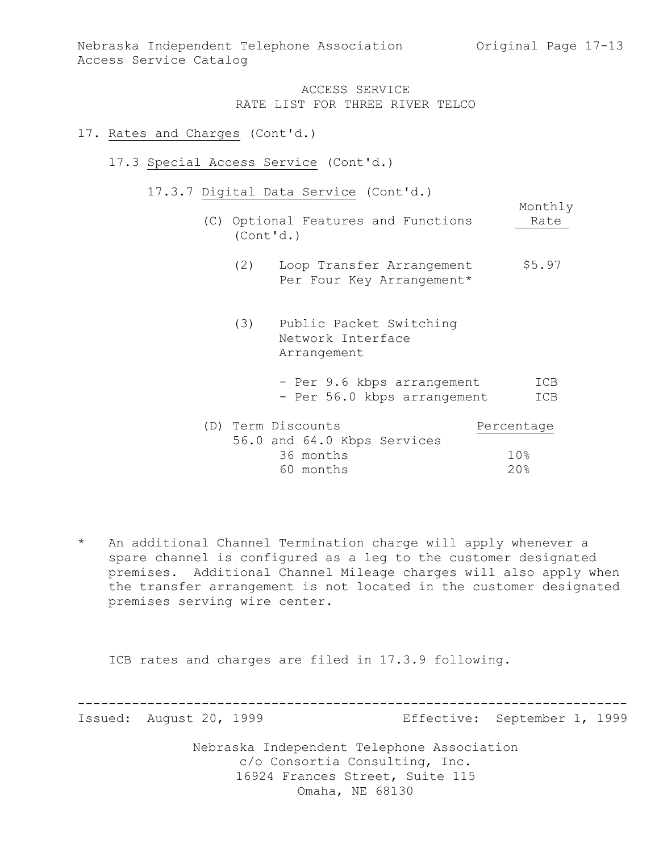Monthly

### ACCESS SERVICE RATE LIST FOR THREE RIVER TELCO

### 17. Rates and Charges (Cont'd.)

- 17.3 Special Access Service (Cont'd.)
	- 17.3.7 Digital Data Service (Cont'd.)
		- (C) Optional Features and Functions 1997 Rate (Cont'd.)
			- (2) Loop Transfer Arrangement \$5.97 Per Four Key Arrangement\*
			- (3) Public Packet Switching Network Interface Arrangement
				- Per 9.6 kbps arrangement ICB - Per 56.0 kbps arrangement ICB

| (D) Term Discounts |           |                             | Percentage |
|--------------------|-----------|-----------------------------|------------|
|                    |           | 56.0 and 64.0 Kbps Services |            |
|                    | 36 months |                             | 1 ଠ ⊱      |
|                    | 60 months |                             | 20%        |

\* An additional Channel Termination charge will apply whenever a spare channel is configured as a leg to the customer designated premises. Additional Channel Mileage charges will also apply when the transfer arrangement is not located in the customer designated premises serving wire center.

ICB rates and charges are filed in 17.3.9 following.

----------------------------------------------------------------------- Issued: August 20, 1999 Effective: September 1, 1999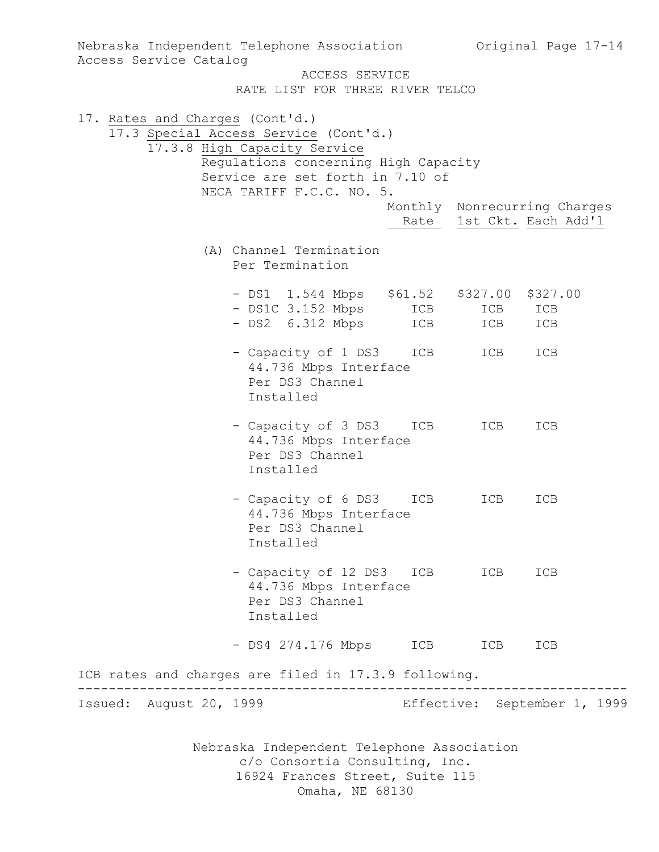| Access Service Catalog          | Nebraska Independent Telephone Association                                                                                                                                     |            |            | Original Page 17-14                                      |  |
|---------------------------------|--------------------------------------------------------------------------------------------------------------------------------------------------------------------------------|------------|------------|----------------------------------------------------------|--|
|                                 | ACCESS SERVICE<br>RATE LIST FOR THREE RIVER TELCO                                                                                                                              |            |            |                                                          |  |
| 17. Rates and Charges (Cont'd.) | 17.3 Special Access Service (Cont'd.)<br>17.3.8 High Capacity Service<br>Regulations concerning High Capacity<br>Service are set forth in 7.10 of<br>NECA TARIFF F.C.C. NO. 5. |            |            |                                                          |  |
|                                 |                                                                                                                                                                                |            |            | Monthly Nonrecurring Charges<br>Rate 1st Ckt. Each Add'l |  |
|                                 | (A) Channel Termination<br>Per Termination                                                                                                                                     |            |            |                                                          |  |
|                                 | - DS1 1.544 Mbps \$61.52 \$327.00 \$327.00<br>- DS1C 3.152 Mbps<br>- DS2 6.312 Mbps                                                                                            | ICB<br>ICB | ICB<br>ICB | ICB<br>ICB                                               |  |
|                                 | - Capacity of 1 DS3<br>44.736 Mbps Interface<br>Per DS3 Channel<br>Installed                                                                                                   | ICB        | ICB        | ICB                                                      |  |
|                                 | - Capacity of 3 DS3<br>44.736 Mbps Interface<br>Per DS3 Channel<br>Installed                                                                                                   | ICB        | ICB        | ICB                                                      |  |
|                                 | - Capacity of 6 DS3<br>44.736 Mbps Interface<br>Per DS3 Channel<br>Installed                                                                                                   | ICB        | ICB        | ICB                                                      |  |
|                                 | - Capacity of 12 DS3 ICB<br>44.736 Mbps Interface<br>Per DS3 Channel<br>Installed                                                                                              |            | ICB        | ICB                                                      |  |
|                                 | - DS4 274.176 Mbps                                                                                                                                                             | ICB        | ICB        | ICB                                                      |  |
|                                 | ICB rates and charges are filed in 17.3.9 following.                                                                                                                           |            |            |                                                          |  |
| Issued: August 20, 1999         |                                                                                                                                                                                |            |            | Effective: September 1, 1999                             |  |
|                                 | Nebraska Independent Telephone Association<br>c/o Consortia Consulting, Inc.<br>16924 Frances Street, Suite 115                                                                |            |            |                                                          |  |

Omaha, NE 68130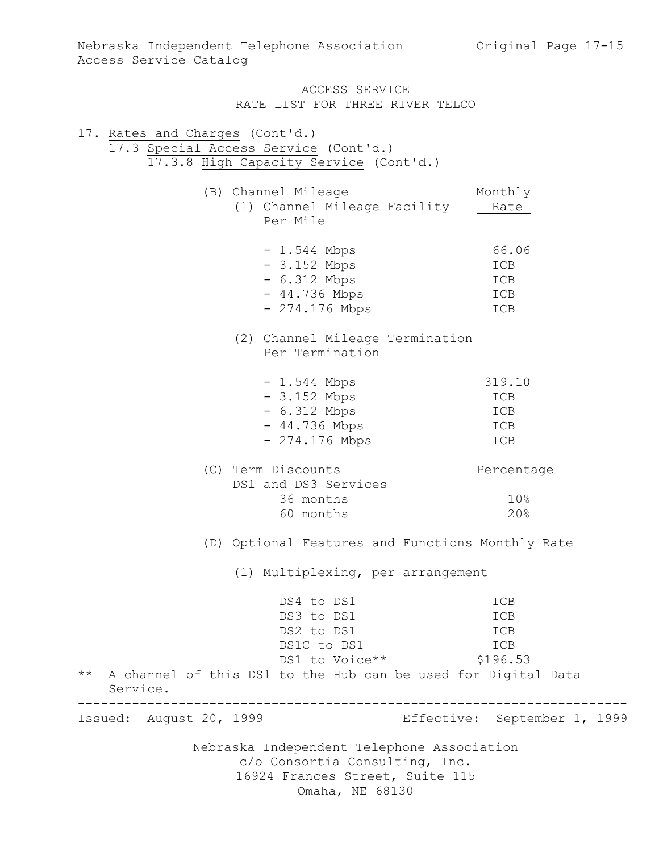Nebraska Independent Telephone Association c/o Consortia Consulting, Inc. 16924 Frances Street, Suite 115 Omaha, NE 68130 17. Rates and Charges (Cont'd.) 17.3 Special Access Service (Cont'd.) 17.3.8 High Capacity Service (Cont'd.) (B) Channel Mileage Monthly (1) Channel Mileage Facility Rate Per Mile - 1.544 Mbps 66.06 - 3.152 Mbps ICB - 6.312 Mbps ICB - 44.736 Mbps ICB - 274.176 Mbps ICB (2) Channel Mileage Termination Per Termination - 1.544 Mbps 319.10 - 3.152 Mbps ICB - 6.312 Mbps ICB - 44.736 Mbps ICB - 274.176 Mbps ICB (C) Term Discounts Percentage DS1 and DS3 Services 36 months 10% 60 months 20% (D) Optional Features and Functions Monthly Rate (1) Multiplexing, per arrangement DS4 to DS1 ICB DS3 to DS1 ICB DS2 to DS1 ICB<br>
ns1C to DS1 ICB<br>
ICB DS1C to DS1 DS1 to Voice \*\* \$196.53 \*\* A channel of this DS1 to the Hub can be used for Digital Data Service. ----------------------------------------------------------------------- Issued: August 20, 1999 Effective: September 1, 1999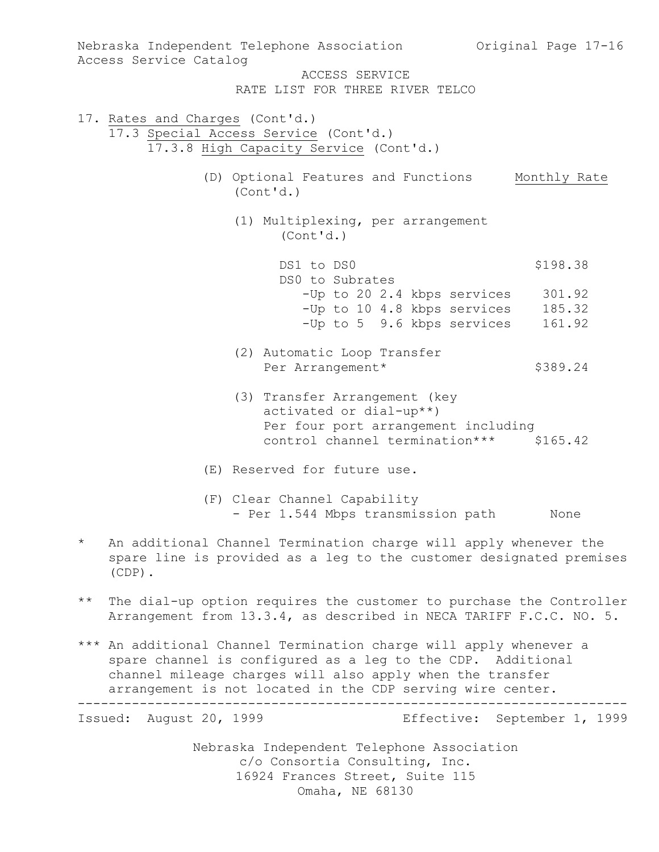Nebraska Independent Telephone Association Original Page 17-16 Access Service Catalog ACCESS SERVICE RATE LIST FOR THREE RIVER TELCO 17. Rates and Charges (Cont'd.) 17.3 Special Access Service (Cont'd.) 17.3.8 High Capacity Service (Cont'd.) (D) Optional Features and Functions Monthly Rate (Cont'd.) (1) Multiplexing, per arrangement (Cont'd.) DS1 to DS0 \$198.38 DS0 to Subrates -Up to 20 2.4 kbps services 301.92 -Up to 10 4.8 kbps services 185.32 -Up to 5 9.6 kbps services 161.92 (2) Automatic Loop Transfer Per Arrangement\* \$389.24 (3) Transfer Arrangement (key activated or dial-up\*\*) Per four port arrangement including control channel termination\*\*\* \$165.42 (E) Reserved for future use. (F) Clear Channel Capability - Per 1.544 Mbps transmission path None \* An additional Channel Termination charge will apply whenever the spare line is provided as a leg to the customer designated premises (CDP). \*\* The dial-up option requires the customer to purchase the Controller Arrangement from 13.3.4, as described in NECA TARIFF F.C.C. NO. 5. \*\*\* An additional Channel Termination charge will apply whenever a spare channel is configured as a leg to the CDP. Additional channel mileage charges will also apply when the transfer arrangement is not located in the CDP serving wire center. ----------------------------------------------------------------------- Issued: August 20, 1999 Effective: September 1, 1999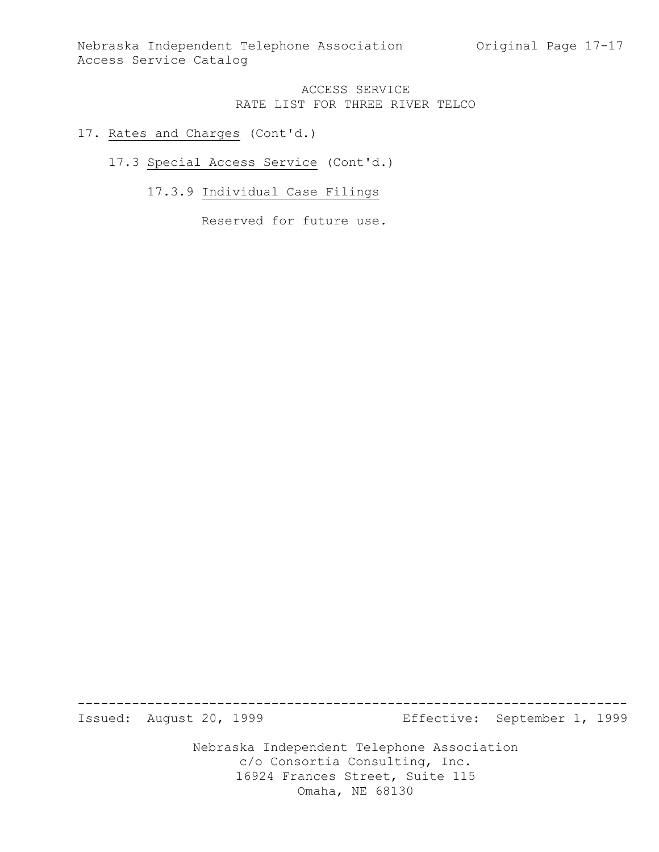- 17. Rates and Charges (Cont'd.)
	- 17.3 Special Access Service (Cont'd.)
		- 17.3.9 Individual Case Filings

Reserved for future use.

Nebraska Independent Telephone Association ----------------------------------------------------------------------- Issued: August 20, 1999 Effective: September 1, 1999

c/o Consortia Consulting, Inc. 16924 Frances Street, Suite 115

Omaha, NE 68130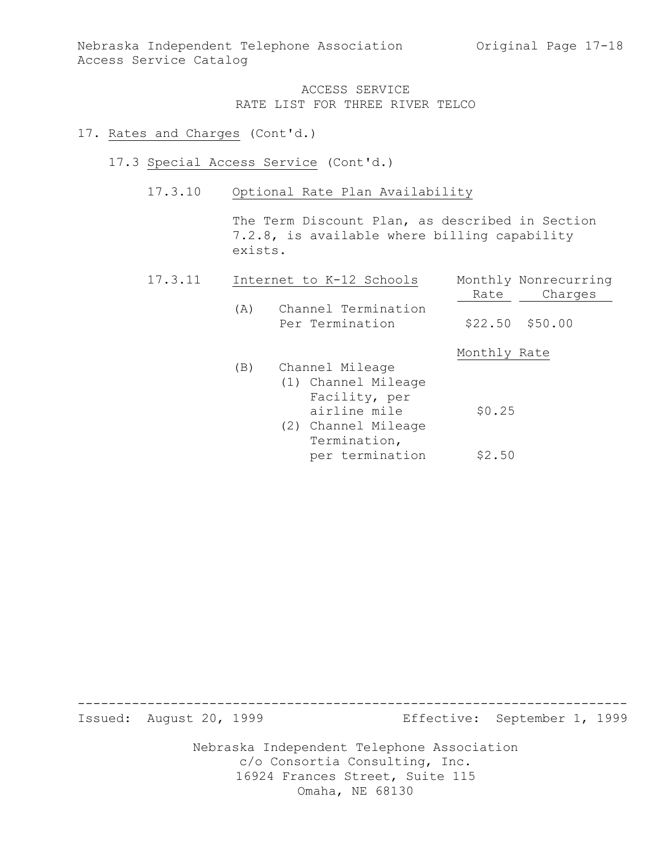#### 17. Rates and Charges (Cont'd.)

- 17.3 Special Access Service (Cont'd.)
	- 17.3.10 Optional Rate Plan Availability

The Term Discount Plan, as described in Section 7.2.8, is available where billing capability exists.

| 17.3.11 |     | Internet to K-12 Schools               | Monthly Nonrecurring |
|---------|-----|----------------------------------------|----------------------|
|         |     |                                        | Charges<br>Rate      |
|         | (A) | Channel Termination<br>Per Termination | $$22.50$ $$50.00$    |
|         |     |                                        | Monthly Rate         |
|         | (B) | Channel Mileage                        |                      |
|         |     | (1) Channel Mileage                    |                      |
|         |     | Facility, per                          |                      |
|         |     | airline mile                           | \$0.25               |
|         |     | (2) Channel Mileage                    |                      |
|         |     | Termination,                           |                      |
|         |     | per termination                        | \$2.50               |

----------------------------------------------------------------------- Issued: August 20, 1999 Effective: September 1, 1999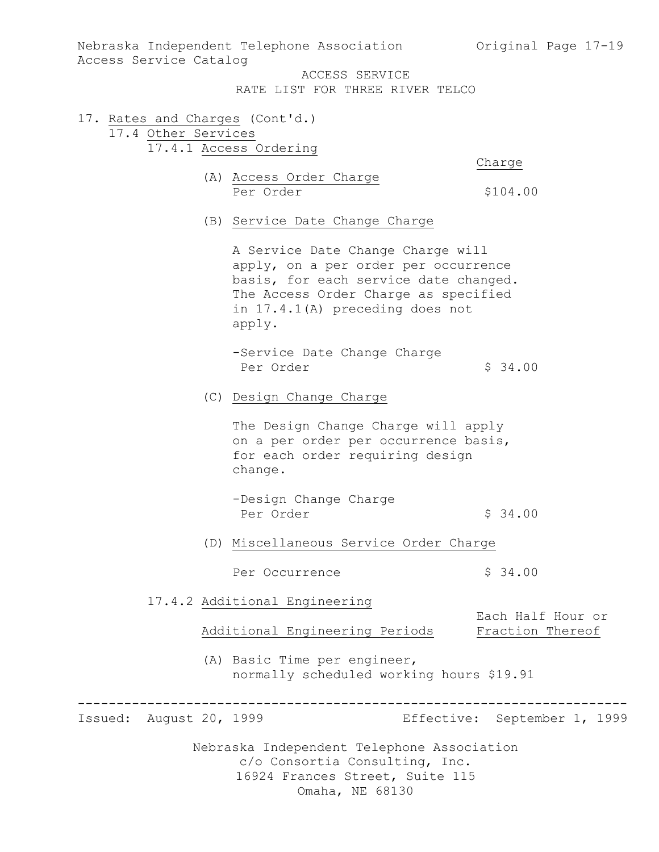| Access Service Catalog  |  | Nebraska Independent Telephone Association Original Page 17-19                                                                                                                                          |                                       |
|-------------------------|--|---------------------------------------------------------------------------------------------------------------------------------------------------------------------------------------------------------|---------------------------------------|
|                         |  | ACCESS SERVICE<br>RATE LIST FOR THREE RIVER TELCO                                                                                                                                                       |                                       |
| 17.4 Other Services     |  | 17. Rates and Charges (Cont'd.)                                                                                                                                                                         |                                       |
|                         |  | 17.4.1 Access Ordering                                                                                                                                                                                  | Charge                                |
|                         |  | (A) Access Order Charge<br>Per Order                                                                                                                                                                    | \$104.00                              |
|                         |  | (B) Service Date Change Charge                                                                                                                                                                          |                                       |
|                         |  | A Service Date Change Charge will<br>apply, on a per order per occurrence<br>basis, for each service date changed.<br>The Access Order Charge as specified<br>in 17.4.1(A) preceding does not<br>apply. |                                       |
|                         |  | -Service Date Change Charge<br>Per Order                                                                                                                                                                | \$34.00                               |
|                         |  | (C) Design Change Charge                                                                                                                                                                                |                                       |
|                         |  | The Design Change Charge will apply<br>on a per order per occurrence basis,<br>for each order requiring design<br>change.                                                                               |                                       |
|                         |  | -Design Change Charge<br>Per Order                                                                                                                                                                      | \$34.00                               |
|                         |  | (D) Miscellaneous Service Order Charge                                                                                                                                                                  |                                       |
|                         |  | Per Occurrence                                                                                                                                                                                          | \$34.00                               |
|                         |  | 17.4.2 Additional Engineering                                                                                                                                                                           |                                       |
|                         |  | Additional Engineering Periods                                                                                                                                                                          | Each Half Hour or<br>Fraction Thereof |
|                         |  | (A) Basic Time per engineer,<br>normally scheduled working hours \$19.91                                                                                                                                |                                       |
| Issued: August 20, 1999 |  |                                                                                                                                                                                                         | Effective: September 1, 1999          |
|                         |  | Nebraska Independent Telephone Association<br>c/o Consortia Consulting, Inc.<br>16924 Frances Street, Suite 115<br>Omaha, NE 68130                                                                      |                                       |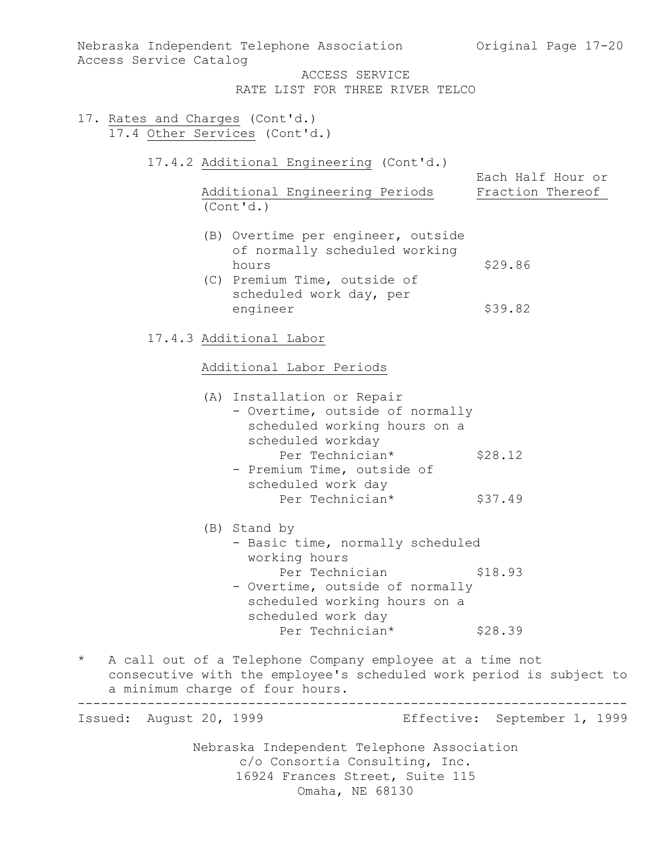Nebraska Independent Telephone Association c/o Consortia Consulting, Inc. 16924 Frances Street, Suite 115 Omaha, NE 68130 Nebraska Independent Telephone Association (Original Page 17-20) Access Service Catalog ACCESS SERVICE RATE LIST FOR THREE RIVER TELCO 17. Rates and Charges (Cont'd.) 17.4 Other Services (Cont'd.) 17.4.2 Additional Engineering (Cont'd.) Each Half Hour or Additional Engineering Periods Fraction Thereof (Cont'd.) (B) Overtime per engineer, outside of normally scheduled working hours \$29.86 (C) Premium Time, outside of scheduled work day, per engineer \$39.82 17.4.3 Additional Labor Additional Labor Periods (A) Installation or Repair - Overtime, outside of normally scheduled working hours on a scheduled workday Per Technician\* \$28.12 - Premium Time, outside of scheduled work day Per Technician\* \$37.49 (B) Stand by - Basic time, normally scheduled working hours Per Technician \$18.93 - Overtime, outside of normally scheduled working hours on a scheduled work day Per Technician\* \$28.39 \* A call out of a Telephone Company employee at a time not consecutive with the employee's scheduled work period is subject to a minimum charge of four hours. ----------------------------------------------------------------------- Issued: August 20, 1999 Effective: September 1, 1999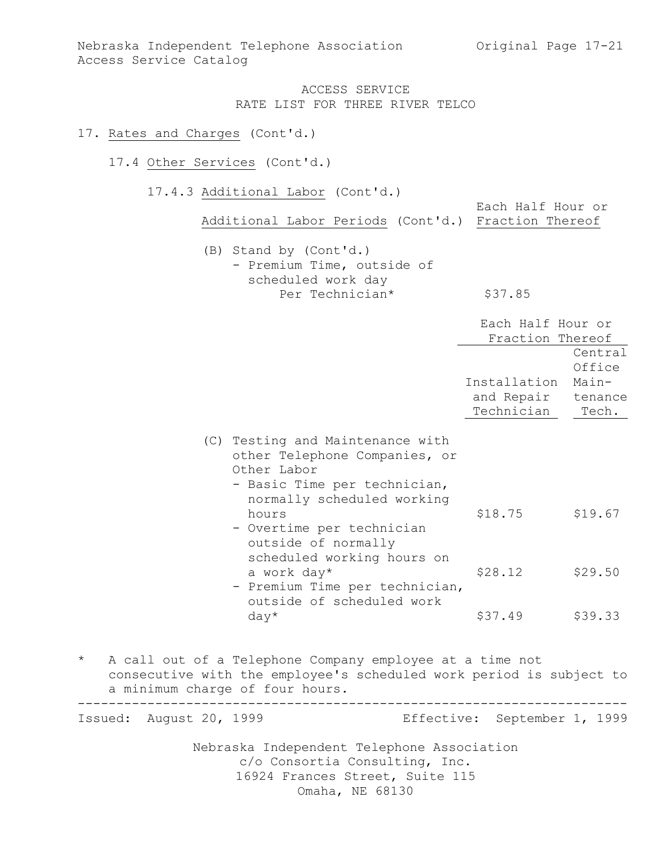Each Half Hour or

### ACCESS SERVICE RATE LIST FOR THREE RIVER TELCO

#### 17. Rates and Charges (Cont'd.)

### 17.4 Other Services (Cont'd.)

17.4.3 Additional Labor (Cont'd.)

Additional Labor Periods (Cont'd.) Fraction Thereof

(B) Stand by (Cont'd.) - Premium Time, outside of scheduled work day Per Technician\* \$37.85

|                            |                                                                                                                                                                                                                                           | Each Half Hour or<br>Fraction Thereof    |                                                |
|----------------------------|-------------------------------------------------------------------------------------------------------------------------------------------------------------------------------------------------------------------------------------------|------------------------------------------|------------------------------------------------|
|                            |                                                                                                                                                                                                                                           | Installation<br>and Repair<br>Technician | Central<br>Office<br>Main-<br>tenance<br>Tech. |
|                            | (C) Testing and Maintenance with<br>other Telephone Companies, or<br>Other Labor<br>- Basic Time per technician,<br>normally scheduled working<br>hours<br>- Overtime per technician<br>outside of normally<br>scheduled working hours on | \$18.75                                  | \$19.67                                        |
|                            | a work day*<br>- Premium Time per technician,<br>outside of scheduled work                                                                                                                                                                | \$28.12                                  | \$29.50                                        |
|                            | $day*$                                                                                                                                                                                                                                    | \$37.49                                  | \$39.33                                        |
| $\star$                    | A call out of a Telephone Company employee at a time not<br>consecutive with the employee's scheduled work period is subject to<br>a minimum charge of four hours.                                                                        |                                          |                                                |
| August 20, 1999<br>Issued: |                                                                                                                                                                                                                                           | Effective: September 1, 1999             |                                                |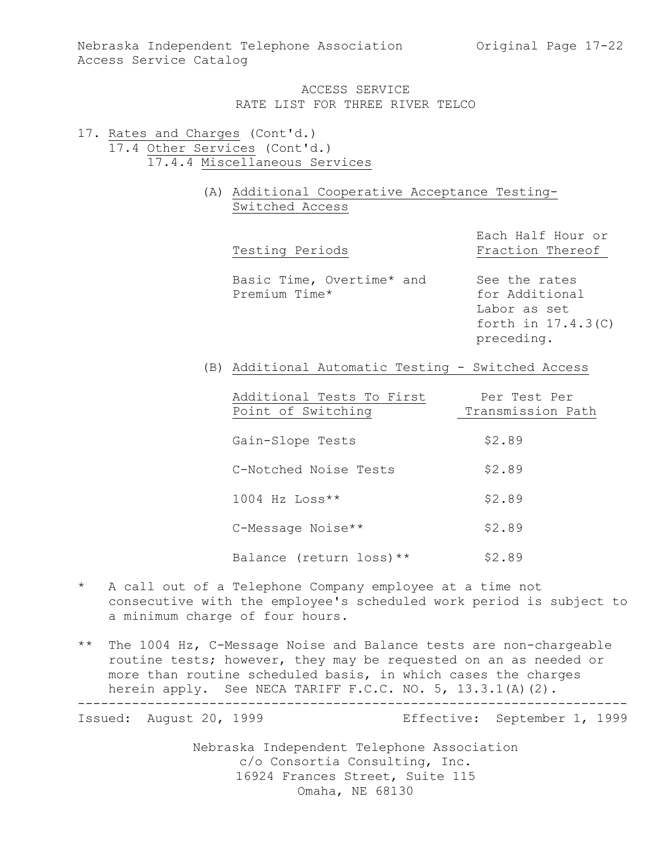- 17. Rates and Charges (Cont'd.) 17.4 Other Services (Cont'd.) 17.4.4 Miscellaneous Services
	- (A) Additional Cooperative Acceptance Testing-Switched Access

| Testing Periods                                    | Each Half Hour or<br>Fraction Thereof                                                 |
|----------------------------------------------------|---------------------------------------------------------------------------------------|
| Basic Time, Overtime* and<br>Premium Time*         | See the rates<br>for Additional<br>Labor as set<br>forth in $17.4.3(C)$<br>preceding. |
| (B) Additional Automatic Testing - Switched Access |                                                                                       |
| Additional Tests To First<br>Point of Switching    | Per Test Per<br>Transmission Path                                                     |

| Gain-Slope Tests         | \$2.89 |
|--------------------------|--------|
| C-Notched Noise Tests    | \$2.89 |
| $1004$ Hz Loss**         | \$2.89 |
| C-Message Noise**        | \$2.89 |
| Balance (return loss) ** | \$2.89 |

\* A call out of a Telephone Company employee at a time not consecutive with the employee's scheduled work period is subject to a minimum charge of four hours.

\*\* The 1004 Hz, C-Message Noise and Balance tests are non-chargeable routine tests; however, they may be requested on an as needed or more than routine scheduled basis, in which cases the charges herein apply. See NECA TARIFF F.C.C. NO. 5, 13.3.1(A)(2). -----------------------------------------------------------------------

Issued: August 20, 1999 Effective: September 1, 1999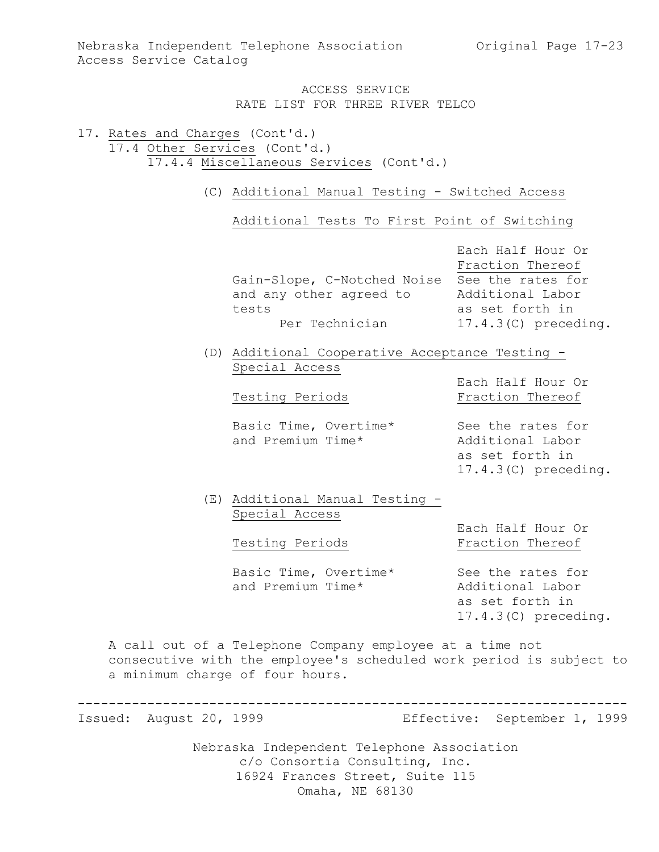17. Rates and Charges (Cont'd.) 17.4 Other Services (Cont'd.) 17.4.4 Miscellaneous Services (Cont'd.)

(C) Additional Manual Testing - Switched Access

Additional Tests To First Point of Switching

|                             | Each Half Hour Or      |
|-----------------------------|------------------------|
|                             | Fraction Thereof       |
| Gain-Slope, C-Notched Noise | See the rates for      |
| and any other agreed to     | Additional Labor       |
| tests                       | as set forth in        |
| Per Technician              | $17.4.3(C)$ preceding. |

(D) Additional Cooperative Acceptance Testing - Special Access

Basic Time, Overtime\* See the rates for and Premium Time\* Additional Labor

Each Half Hour Or Testing Periods Fraction Thereof

> as set forth in 17.4.3(C) preceding.

(E) Additional Manual Testing - Special Access

Each Half Hour Or Testing Periods **Fraction** Thereof

Basic Time, Overtime\* See the rates for and Premium Time\* Additional Labor

as set forth in 17.4.3(C) preceding.

A call out of a Telephone Company employee at a time not consecutive with the employee's scheduled work period is subject to a minimum charge of four hours.

-----------------------------------------------------------------------

Issued: August 20, 1999 Effective: September 1, 1999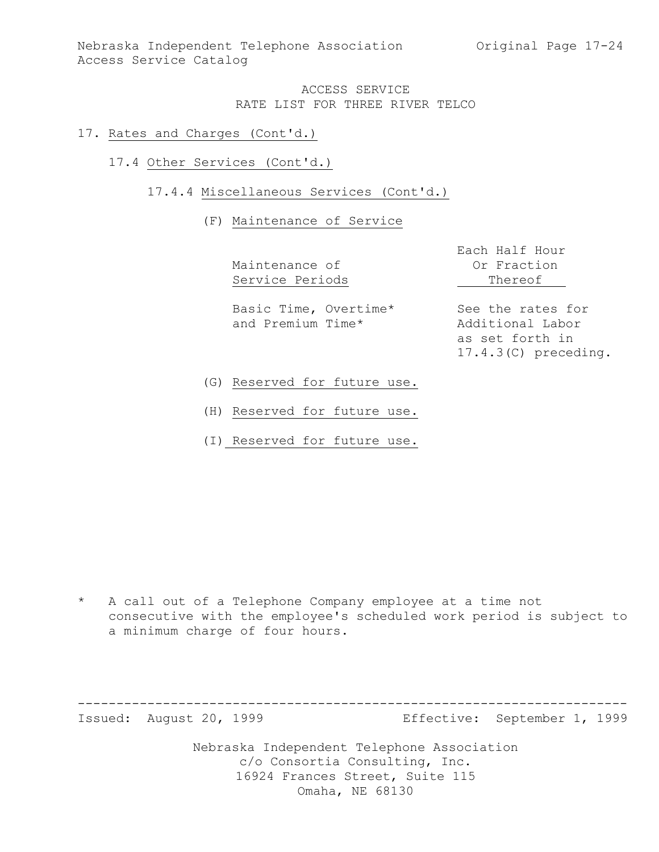Nebraska Independent Telephone Association (Original Page 17-24) Access Service Catalog

### ACCESS SERVICE RATE LIST FOR THREE RIVER TELCO

#### 17. Rates and Charges (Cont'd.)

17.4 Other Services (Cont'd.)

### 17.4.4 Miscellaneous Services (Cont'd.)

### (F) Maintenance of Service

|                                            | Each Half Hour                        |
|--------------------------------------------|---------------------------------------|
| Maintenance of                             | Or Fraction                           |
| Service Periods                            | Thereof                               |
| Basic Time, Overtime*<br>and Premium Time* | See the rates for<br>Additional Labor |

as set forth in 17.4.3(C) preceding.

- (G) Reserved for future use.
- (H) Reserved for future use.
- (I) Reserved for future use.

\* A call out of a Telephone Company employee at a time not consecutive with the employee's scheduled work period is subject to a minimum charge of four hours.

----------------------------------------------------------------------- Issued: August 20, 1999 Effective: September 1, 1999

Nebraska Independent Telephone Association

c/o Consortia Consulting, Inc. 16924 Frances Street, Suite 115

Omaha, NE 68130